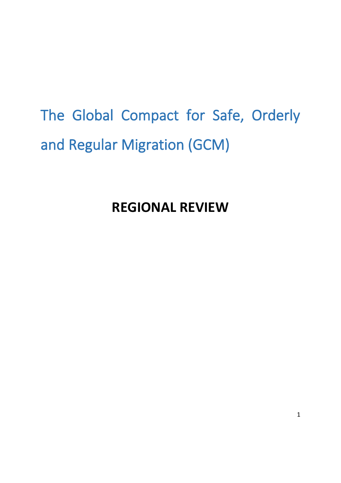# The Global Compact for Safe, Orderly and Regular Migration (GCM)

**REGIONAL REVIEW**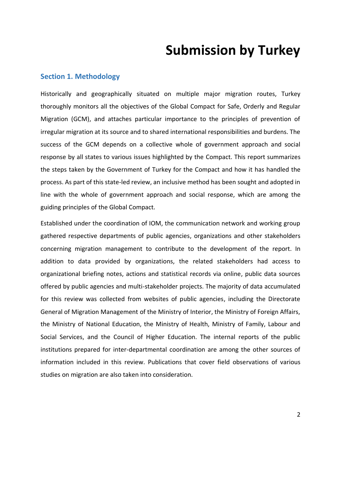# **Submission by Turkey**

#### **Section 1. Methodology**

Historically and geographically situated on multiple major migration routes, Turkey thoroughly monitors all the objectives of the Global Compact for Safe, Orderly and Regular Migration (GCM), and attaches particular importance to the principles of prevention of irregular migration at its source and to shared international responsibilities and burdens. The success of the GCM depends on a collective whole of government approach and social response by all states to various issues highlighted by the Compact. This report summarizes the steps taken by the Government of Turkey for the Compact and how it has handled the process. As part of this state-led review, an inclusive method has been sought and adopted in line with the whole of government approach and social response, which are among the guiding principles of the Global Compact.

Established under the coordination of IOM, the communication network and working group gathered respective departments of public agencies, organizations and other stakeholders concerning migration management to contribute to the development of the report. In addition to data provided by organizations, the related stakeholders had access to organizational briefing notes, actions and statistical records via online, public data sources offered by public agencies and multi-stakeholder projects. The majority of data accumulated for this review was collected from websites of public agencies, including the Directorate General of Migration Management of the Ministry of Interior, the Ministry of Foreign Affairs, the Ministry of National Education, the Ministry of Health, Ministry of Family, Labour and Social Services, and the Council of Higher Education. The internal reports of the public institutions prepared for inter-departmental coordination are among the other sources of information included in this review. Publications that cover field observations of various studies on migration are also taken into consideration.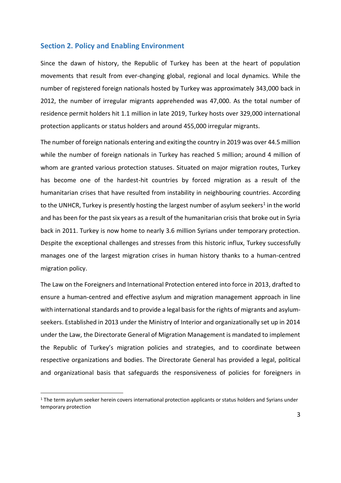#### **Section 2. Policy and Enabling Environment**

Since the dawn of history, the Republic of Turkey has been at the heart of population movements that result from ever-changing global, regional and local dynamics. While the number of registered foreign nationals hosted by Turkey was approximately 343,000 back in 2012, the number of irregular migrants apprehended was 47,000. As the total number of residence permit holders hit 1.1 million in late 2019, Turkey hosts over 329,000 international protection applicants or status holders and around 455,000 irregular migrants.

The number of foreign nationals entering and exiting the country in 2019 was over 44.5 million while the number of foreign nationals in Turkey has reached 5 million; around 4 million of whom are granted various protection statuses. Situated on major migration routes, Turkey has become one of the hardest-hit countries by forced migration as a result of the humanitarian crises that have resulted from instability in neighbouring countries. According to the UNHCR, Turkey is presently hosting the largest number of asylum seekers<sup>1</sup> in the world and has been for the past six years as a result of the humanitarian crisis that broke out in Syria back in 2011. Turkey is now home to nearly 3.6 million Syrians under temporary protection. Despite the exceptional challenges and stresses from this historic influx, Turkey successfully manages one of the largest migration crises in human history thanks to a human-centred migration policy.

The Law on the Foreigners and International Protection entered into force in 2013, drafted to ensure a human-centred and effective asylum and migration management approach in line with international standards and to provide a legal basis for the rights of migrants and asylumseekers. Established in 2013 under the Ministry of Interior and organizationally set up in 2014 under the Law, the Directorate General of Migration Management is mandated to implement the Republic of Turkey's migration policies and strategies, and to coordinate between respective organizations and bodies. The Directorate General has provided a legal, political and organizational basis that safeguards the responsiveness of policies for foreigners in

<sup>&</sup>lt;sup>1</sup> The term asylum seeker herein covers international protection applicants or status holders and Syrians under temporary protection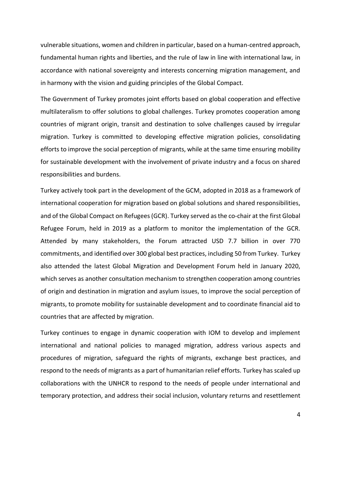vulnerable situations, women and children in particular, based on a human-centred approach, fundamental human rights and liberties, and the rule of law in line with international law, in accordance with national sovereignty and interests concerning migration management, and in harmony with the vision and guiding principles of the Global Compact.

The Government of Turkey promotes joint efforts based on global cooperation and effective multilateralism to offer solutions to global challenges. Turkey promotes cooperation among countries of migrant origin, transit and destination to solve challenges caused by irregular migration. Turkey is committed to developing effective migration policies, consolidating efforts to improve the social perception of migrants, while at the same time ensuring mobility for sustainable development with the involvement of private industry and a focus on shared responsibilities and burdens.

Turkey actively took part in the development of the GCM, adopted in 2018 as a framework of international cooperation for migration based on global solutions and shared responsibilities, and of the Global Compact on Refugees (GCR). Turkey served as the co-chair at the first Global Refugee Forum, held in 2019 as a platform to monitor the implementation of the GCR. Attended by many stakeholders, the Forum attracted USD 7.7 billion in over 770 commitments, and identified over 300 global best practices, including 50 from Turkey. Turkey also attended the latest Global Migration and Development Forum held in January 2020, which serves as another consultation mechanism to strengthen cooperation among countries of origin and destination in migration and asylum issues, to improve the social perception of migrants, to promote mobility for sustainable development and to coordinate financial aid to countries that are affected by migration.

Turkey continues to engage in dynamic cooperation with IOM to develop and implement international and national policies to managed migration, address various aspects and procedures of migration, safeguard the rights of migrants, exchange best practices, and respond to the needs of migrants as a part of humanitarian relief efforts. Turkey has scaled up collaborations with the UNHCR to respond to the needs of people under international and temporary protection, and address their social inclusion, voluntary returns and resettlement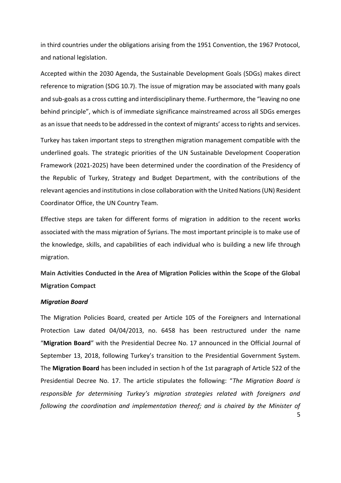in third countries under the obligations arising from the 1951 Convention, the 1967 Protocol, and national legislation.

Accepted within the 2030 Agenda, the Sustainable Development Goals (SDGs) makes direct reference to migration (SDG 10.7). The issue of migration may be associated with many goals and sub-goals as a cross cutting and interdisciplinary theme. Furthermore, the "leaving no one behind principle", which is of immediate significance mainstreamed across all SDGs emerges as an issue that needs to be addressed in the context of migrants' access to rights and services.

Turkey has taken important steps to strengthen migration management compatible with the underlined goals. The strategic priorities of the UN Sustainable Development Cooperation Framework (2021-2025) have been determined under the coordination of the Presidency of the Republic of Turkey, Strategy and Budget Department, with the contributions of the relevant agencies and institutions in close collaboration with the United Nations (UN) Resident Coordinator Office, the UN Country Team.

Effective steps are taken for different forms of migration in addition to the recent works associated with the mass migration of Syrians. The most important principle is to make use of the knowledge, skills, and capabilities of each individual who is building a new life through migration.

**Main Activities Conducted in the Area of Migration Policies within the Scope of the Global Migration Compact** 

#### *Migration Board*

The Migration Policies Board, created per Article 105 of the Foreigners and International Protection Law dated 04/04/2013, no. 6458 has been restructured under the name "**Migration Board**" with the Presidential Decree No. 17 announced in the Official Journal of September 13, 2018, following Turkey's transition to the Presidential Government System. The **Migration Board** has been included in section h of the 1st paragraph of Article 522 of the Presidential Decree No. 17. The article stipulates the following: "*The Migration Board is responsible for determining Turkey's migration strategies related with foreigners and following the coordination and implementation thereof; and is chaired by the Minister of*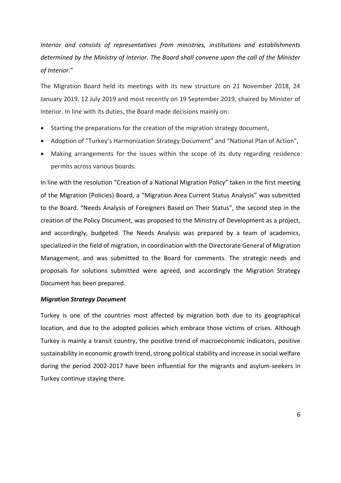*Interior and consists of representatives from ministries, institutions and establishments determined by the Ministry of Interior. The Board shall convene upon the call of the Minister of Interior*."

The Migration Board held its meetings with its new structure on 21 November 2018, 24 January 2019, 12 July 2019 and most recently on 19 September 2019, chaired by Minister of Interior. In line with its duties, the Board made decisions mainly on:

- Starting the preparations for the creation of the migration strategy document,
- Adoption of "Turkey's Harmonization Strategy Document" and "National Plan of Action",
- Making arrangements for the issues within the scope of its duty regarding residence permits across various boards.

In line with the resolution "Creation of a National Migration Policy" taken in the first meeting of the Migration (Policies) Board, a "Migration Area Current Status Analysis" was submitted to the Board. "Needs Analysis of Foreigners Based on Their Status", the second step in the creation of the Policy Document, was proposed to the Ministry of Development as a project, and accordingly, budgeted. The Needs Analysis was prepared by a team of academics, specialized in the field of migration, in coordination with the Directorate General of Migration Management, and was submitted to the Board for comments. The strategic needs and proposals for solutions submitted were agreed, and accordingly the Migration Strategy Document has been prepared.

#### *Migration Strategy Document*

Turkey is one of the countries most affected by migration both due to its geographical location, and due to the adopted policies which embrace those victims of crises. Although Turkey is mainly a transit country, the positive trend of macroeconomic indicators, positive sustainability in economic growth trend, strong political stability and increase in social welfare during the period 2002-2017 have been influential for the migrants and asylum-seekers in Turkey continue staying there.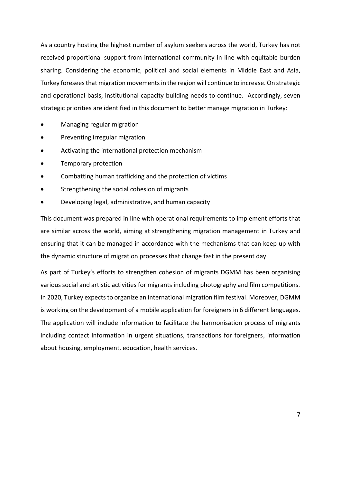As a country hosting the highest number of asylum seekers across the world, Turkey has not received proportional support from international community in line with equitable burden sharing. Considering the economic, political and social elements in Middle East and Asia, Turkey foresees that migration movementsin the region will continue to increase.On strategic and operational basis, institutional capacity building needs to continue. Accordingly, seven strategic priorities are identified in this document to better manage migration in Turkey:

- Managing regular migration
- Preventing irregular migration
- Activating the international protection mechanism
- Temporary protection
- Combatting human trafficking and the protection of victims
- Strengthening the social cohesion of migrants
- Developing legal, administrative, and human capacity

This document was prepared in line with operational requirements to implement efforts that are similar across the world, aiming at strengthening migration management in Turkey and ensuring that it can be managed in accordance with the mechanisms that can keep up with the dynamic structure of migration processes that change fast in the present day.

As part of Turkey's efforts to strengthen cohesion of migrants DGMM has been organising various social and artistic activities for migrants including photography and film competitions. In 2020, Turkey expects to organize an international migration film festival. Moreover, DGMM is working on the development of a mobile application for foreigners in 6 different languages. The application will include information to facilitate the harmonisation process of migrants including contact information in urgent situations, transactions for foreigners, information about housing, employment, education, health services.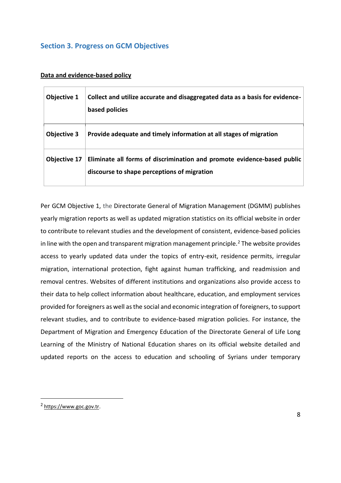### **Section 3. Progress on GCM Objectives**

#### **Data and evidence-based policy**

| Objective 1         | Collect and utilize accurate and disaggregated data as a basis for evidence-<br>based policies                         |
|---------------------|------------------------------------------------------------------------------------------------------------------------|
| Objective 3         | Provide adequate and timely information at all stages of migration                                                     |
| <b>Objective 17</b> | Eliminate all forms of discrimination and promote evidence-based public<br>discourse to shape perceptions of migration |

Per GCM Objective 1, the Directorate General of Migration Management (DGMM) publishes yearly migration reports as well as updated migration statistics on its official website in order to contribute to relevant studies and the development of consistent, evidence-based policies in line with the open and transparent migration management principle.<sup>2</sup> The website provides access to yearly updated data under the topics of entry-exit, residence permits, irregular migration, international protection, fight against human trafficking, and readmission and removal centres. Websites of different institutions and organizations also provide access to their data to help collect information about healthcare, education, and employment services provided for foreigners as well as the social and economic integration of foreigners, to support relevant studies, and to contribute to evidence-based migration policies. For instance, the Department of Migration and Emergency Education of the Directorate General of Life Long Learning of the Ministry of National Education shares on its official website detailed and updated reports on the access to education and schooling of Syrians under temporary

<sup>&</sup>lt;sup>2</sup> [https://www.goc.gov.tr.](https://www.goc.gov.tr/)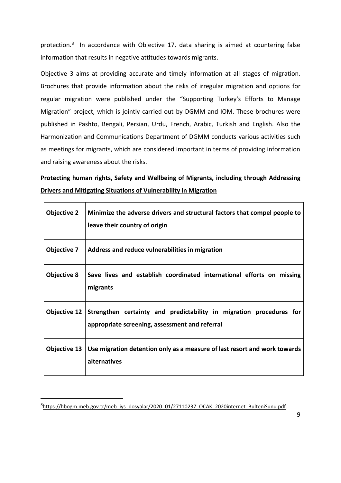protection.<sup>3</sup> In accordance with Objective 17, data sharing is aimed at countering false information that results in negative attitudes towards migrants.

Objective 3 aims at providing accurate and timely information at all stages of migration. Brochures that provide information about the risks of irregular migration and options for regular migration were published under the "Supporting Turkey's Efforts to Manage Migration" project, which is jointly carried out by DGMM and IOM. These brochures were published in Pashto, Bengali, Persian, Urdu, French, Arabic, Turkish and English. Also the Harmonization and Communications Department of DGMM conducts various activities such as meetings for migrants, which are considered important in terms of providing information and raising awareness about the risks.

# **Protecting human rights, Safety and Wellbeing of Migrants, including through Addressing Drivers and Mitigating Situations of Vulnerability in Migration**

| <b>Objective 2</b> | Minimize the adverse drivers and structural factors that compel people to<br>leave their country of origin            |
|--------------------|-----------------------------------------------------------------------------------------------------------------------|
| Objective 7        | Address and reduce vulnerabilities in migration                                                                       |
| <b>Objective 8</b> | Save lives and establish coordinated international efforts on missing<br>migrants                                     |
| Objective 12       | Strengthen certainty and predictability in migration procedures for<br>appropriate screening, assessment and referral |
| Objective 13       | Use migration detention only as a measure of last resort and work towards<br>alternatives                             |

<sup>&</sup>lt;sup>3</sup>[https://hbogm.meb.gov.tr/meb\\_iys\\_dosyalar/2020\\_01/27110237\\_OCAK\\_2020internet\\_BulteniSunu.pdf.](https://hbogm.meb.gov.tr/meb_iys_dosyalar/2020_01/27110237_OCAK_2020internet_BulteniSunu.pdf)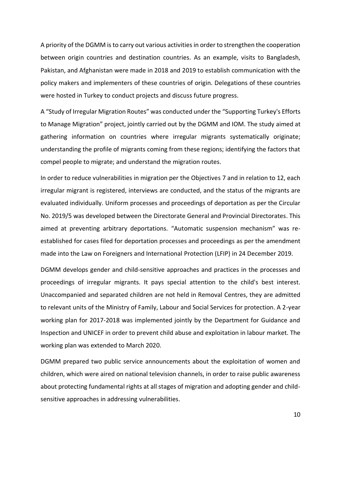A priority of the DGMM is to carry out various activities in order to strengthen the cooperation between origin countries and destination countries. As an example, visits to Bangladesh, Pakistan, and Afghanistan were made in 2018 and 2019 to establish communication with the policy makers and implementers of these countries of origin. Delegations of these countries were hosted in Turkey to conduct projects and discuss future progress.

A "Study of Irregular Migration Routes" was conducted under the "Supporting Turkey's Efforts to Manage Migration" project, jointly carried out by the DGMM and IOM. The study aimed at gathering information on countries where irregular migrants systematically originate; understanding the profile of migrants coming from these regions; identifying the factors that compel people to migrate; and understand the migration routes.

In order to reduce vulnerabilities in migration per the Objectives 7 and in relation to 12, each irregular migrant is registered, interviews are conducted, and the status of the migrants are evaluated individually. Uniform processes and proceedings of deportation as per the Circular No. 2019/5 was developed between the Directorate General and Provincial Directorates. This aimed at preventing arbitrary deportations. "Automatic suspension mechanism" was reestablished for cases filed for deportation processes and proceedings as per the amendment made into the Law on Foreigners and International Protection (LFIP) in 24 December 2019.

DGMM develops gender and child-sensitive approaches and practices in the processes and proceedings of irregular migrants. It pays special attention to the child's best interest. Unaccompanied and separated children are not held in Removal Centres, they are admitted to relevant units of the Ministry of Family, Labour and Social Services for protection. A 2-year working plan for 2017-2018 was implemented jointly by the Department for Guidance and Inspection and UNICEF in order to prevent child abuse and exploitation in labour market. The working plan was extended to March 2020.

DGMM prepared two public service announcements about the exploitation of women and children, which were aired on national television channels, in order to raise public awareness about protecting fundamental rights at all stages of migration and adopting gender and childsensitive approaches in addressing vulnerabilities.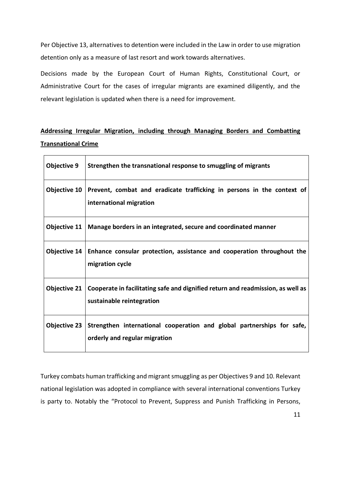Per Objective 13, alternatives to detention were included in the Law in order to use migration detention only as a measure of last resort and work towards alternatives.

Decisions made by the European Court of Human Rights, Constitutional Court, or Administrative Court for the cases of irregular migrants are examined diligently, and the relevant legislation is updated when there is a need for improvement.

# **Addressing Irregular Migration, including through Managing Borders and Combatting Transnational Crime**

| <b>Objective 9</b>  | Strengthen the transnational response to smuggling of migrants                                               |
|---------------------|--------------------------------------------------------------------------------------------------------------|
| Objective 10        | Prevent, combat and eradicate trafficking in persons in the context of<br>international migration            |
| Objective 11        | Manage borders in an integrated, secure and coordinated manner                                               |
| Objective $14$      | Enhance consular protection, assistance and cooperation throughout the<br>migration cycle                    |
| <b>Objective 21</b> | Cooperate in facilitating safe and dignified return and readmission, as well as<br>sustainable reintegration |
| <b>Objective 23</b> | Strengthen international cooperation and global partnerships for safe,<br>orderly and regular migration      |

Turkey combats human trafficking and migrant smuggling as per Objectives 9 and 10. Relevant national legislation was adopted in compliance with several international conventions Turkey is party to. Notably the "Protocol to Prevent, Suppress and Punish Trafficking in Persons,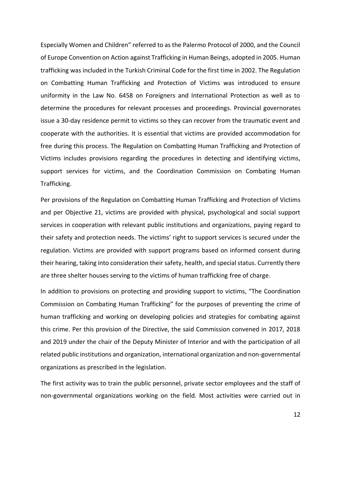Especially Women and Children" referred to as the Palermo Protocol of 2000, and the Council of Europe Convention on Action against Trafficking in Human Beings, adopted in 2005. Human trafficking was included in the Turkish Criminal Code for the first time in 2002. The Regulation on Combatting Human Trafficking and Protection of Victims was introduced to ensure uniformity in the Law No. 6458 on Foreigners and International Protection as well as to determine the procedures for relevant processes and proceedings. Provincial governorates issue a 30-day residence permit to victims so they can recover from the traumatic event and cooperate with the authorities. It is essential that victims are provided accommodation for free during this process. The Regulation on Combatting Human Trafficking and Protection of Victims includes provisions regarding the procedures in detecting and identifying victims, support services for victims, and the Coordination Commission on Combating Human Trafficking.

Per provisions of the Regulation on Combatting Human Trafficking and Protection of Victims and per Objective 21, victims are provided with physical, psychological and social support services in cooperation with relevant public institutions and organizations, paying regard to their safety and protection needs. The victims' right to support services is secured under the regulation. Victims are provided with support programs based on informed consent during their hearing, taking into consideration their safety, health, and special status. Currently there are three shelter houses serving to the victims of human trafficking free of charge.

In addition to provisions on protecting and providing support to victims, "The Coordination Commission on Combating Human Trafficking" for the purposes of preventing the crime of human trafficking and working on developing policies and strategies for combating against this crime. Per this provision of the Directive, the said Commission convened in 2017, 2018 and 2019 under the chair of the Deputy Minister of Interior and with the participation of all related public institutions and organization, international organization and non-governmental organizations as prescribed in the legislation.

The first activity was to train the public personnel, private sector employees and the staff of non-governmental organizations working on the field. Most activities were carried out in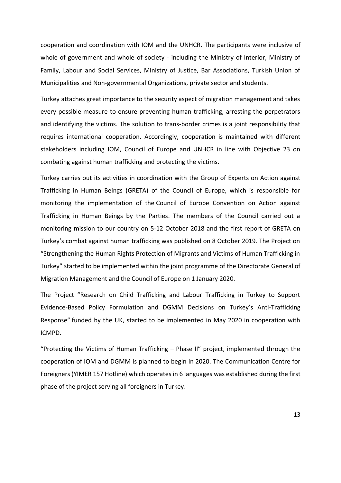cooperation and coordination with IOM and the UNHCR. The participants were inclusive of whole of government and whole of society - including the Ministry of Interior, Ministry of Family, Labour and Social Services, Ministry of Justice, Bar Associations, Turkish Union of Municipalities and Non-governmental Organizations, private sector and students.

Turkey attaches great importance to the security aspect of migration management and takes every possible measure to ensure preventing human trafficking, arresting the perpetrators and identifying the victims. The solution to trans-border crimes is a joint responsibility that requires international cooperation. Accordingly, cooperation is maintained with different stakeholders including IOM, Council of Europe and UNHCR in line with Objective 23 on combating against human trafficking and protecting the victims.

Turkey carries out its activities in coordination with the Group of Experts on Action against Trafficking in Human Beings (GRETA) of the Council of Europe, which is responsible for monitoring the implementation of the [Council of Europe Convention on Action against](http://www.coe.int/en/web/conventions/full-list/-/conventions/rms/090000168008371d)  [Trafficking in Human Beings by the Parties.](http://www.coe.int/en/web/conventions/full-list/-/conventions/rms/090000168008371d) The members of the Council carried out a monitoring mission to our country on 5-12 October 2018 and the first report of GRETA on Turkey's combat against human trafficking was published on 8 October 2019. The Project on "Strengthening the Human Rights Protection of Migrants and Victims of Human Trafficking in Turkey" started to be implemented within the joint programme of the Directorate General of Migration Management and the Council of Europe on 1 January 2020.

The Project "Research on Child Trafficking and Labour Trafficking in Turkey to Support Evidence-Based Policy Formulation and DGMM Decisions on Turkey's Anti-Trafficking Response" funded by the UK, started to be implemented in May 2020 in cooperation with ICMPD.

"Protecting the Victims of Human Trafficking – Phase II" project, implemented through the cooperation of IOM and DGMM is planned to begin in 2020. The Communication Centre for Foreigners (YIMER 157 Hotline) which operates in 6 languages was established during the first phase of the project serving all foreigners in Turkey.

13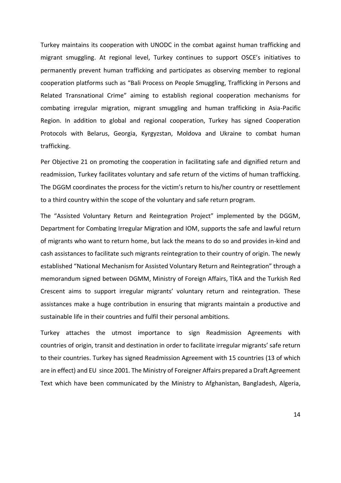Turkey maintains its cooperation with UNODC in the combat against human trafficking and migrant smuggling. At regional level, Turkey continues to support OSCE's initiatives to permanently prevent human trafficking and participates as observing member to regional cooperation platforms such as "Bali Process on People Smuggling, Trafficking in Persons and Related Transnational Crime" aiming to establish regional cooperation mechanisms for combating irregular migration, migrant smuggling and human trafficking in Asia-Pacific Region. In addition to global and regional cooperation, Turkey has signed Cooperation Protocols with Belarus, Georgia, Kyrgyzstan, Moldova and Ukraine to combat human trafficking.

Per Objective 21 on promoting the cooperation in facilitating safe and dignified return and readmission, Turkey facilitates voluntary and safe return of the victims of human trafficking. The DGGM coordinates the process for the victim's return to his/her country or resettlement to a third country within the scope of the voluntary and safe return program.

The "Assisted Voluntary Return and Reintegration Project" implemented by the DGGM, Department for Combating Irregular Migration and IOM, supports the safe and lawful return of migrants who want to return home, but lack the means to do so and provides in-kind and cash assistances to facilitate such migrants reintegration to their country of origin. The newly established "National Mechanism for Assisted Voluntary Return and Reintegration" through a memorandum signed between DGMM, Ministry of Foreign Affairs, TİKA and the Turkish Red Crescent aims to support irregular migrants' voluntary return and reintegration. These assistances make a huge contribution in ensuring that migrants maintain a productive and sustainable life in their countries and fulfil their personal ambitions.

Turkey attaches the utmost importance to sign Readmission Agreements with countries of origin, transit and destination in order to facilitate irregular migrants' safe return to their countries. Turkey has signed Readmission Agreement with 15 countries (13 of which are in effect) and EU since 2001. The Ministry of Foreigner Affairs prepared a Draft Agreement Text which have been communicated by the Ministry to Afghanistan, Bangladesh, Algeria,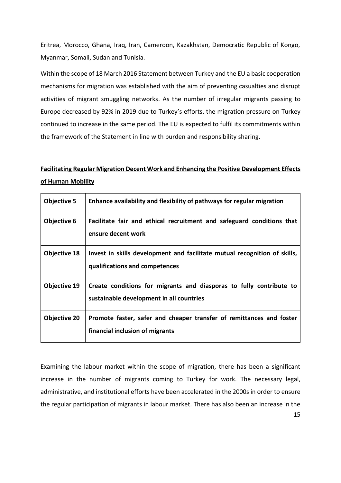Eritrea, Morocco, Ghana, Iraq, Iran, Cameroon, Kazakhstan, Democratic Republic of Kongo, Myanmar, Somali, Sudan and Tunisia.

Within the scope of 18 March 2016 Statement between Turkey and the EU a basic cooperation mechanisms for migration was established with the aim of preventing casualties and disrupt activities of migrant smuggling networks. As the number of irregular migrants passing to Europe decreased by 92% in 2019 due to Turkey's efforts, the migration pressure on Turkey continued to increase in the same period. The EU is expected to fulfil its commitments within the framework of the Statement in line with burden and responsibility sharing.

# **Facilitating Regular Migration Decent Work and Enhancing the Positive Development Effects of Human Mobility**

| <b>Objective 5</b>  | Enhance availability and flexibility of pathways for regular migration                                          |
|---------------------|-----------------------------------------------------------------------------------------------------------------|
| Objective 6         | Facilitate fair and ethical recruitment and safeguard conditions that<br>ensure decent work                     |
| <b>Objective 18</b> | Invest in skills development and facilitate mutual recognition of skills,<br>qualifications and competences     |
| Objective 19        | Create conditions for migrants and diasporas to fully contribute to<br>sustainable development in all countries |
| <b>Objective 20</b> | Promote faster, safer and cheaper transfer of remittances and foster<br>financial inclusion of migrants         |

Examining the labour market within the scope of migration, there has been a significant increase in the number of migrants coming to Turkey for work. The necessary legal, administrative, and institutional efforts have been accelerated in the 2000s in order to ensure the regular participation of migrants in labour market. There has also been an increase in the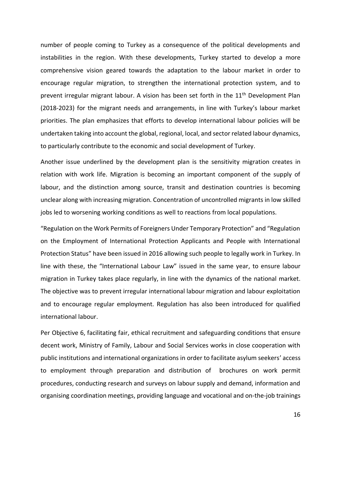number of people coming to Turkey as a consequence of the political developments and instabilities in the region. With these developments, Turkey started to develop a more comprehensive vision geared towards the adaptation to the labour market in order to encourage regular migration, to strengthen the international protection system, and to prevent irregular migrant labour. A vision has been set forth in the 11<sup>th</sup> Development Plan (2018-2023) for the migrant needs and arrangements, in line with Turkey's labour market priorities. The plan emphasizes that efforts to develop international labour policies will be undertaken taking into account the global, regional, local, and sector related labour dynamics, to particularly contribute to the economic and social development of Turkey.

Another issue underlined by the development plan is the sensitivity migration creates in relation with work life. Migration is becoming an important component of the supply of labour, and the distinction among source, transit and destination countries is becoming unclear along with increasing migration. Concentration of uncontrolled migrants in low skilled jobs led to worsening working conditions as well to reactions from local populations.

"Regulation on the Work Permits of Foreigners Under Temporary Protection" and "Regulation on the Employment of International Protection Applicants and People with International Protection Status" have been issued in 2016 allowing such people to legally work in Turkey. In line with these, the "International Labour Law" issued in the same year, to ensure labour migration in Turkey takes place regularly, in line with the dynamics of the national market. The objective was to prevent irregular international labour migration and labour exploitation and to encourage regular employment. Regulation has also been introduced for qualified international labour.

Per Objective 6, facilitating fair, ethical recruitment and safeguarding conditions that ensure decent work, Ministry of Family, Labour and Social Services works in close cooperation with public institutions and international organizations in order to facilitate asylum seekers' access to employment through preparation and distribution of brochures on work permit procedures, conducting research and surveys on labour supply and demand, information and organising coordination meetings, providing language and vocational and on-the-job trainings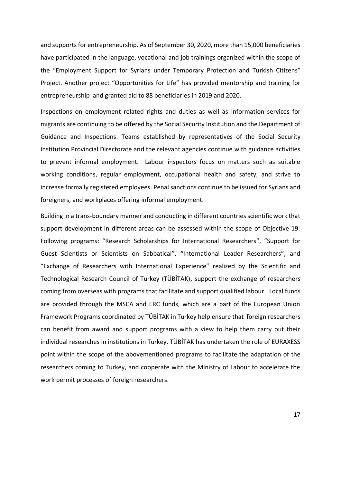and supports for entrepreneurship. As of September 30, 2020, more than 15,000 beneficiaries have participated in the language, vocational and job trainings organized within the scope of the "Employment Support for Syrians under Temporary Protection and Turkish Citizens" Project. Another project "Opportunities for Life" has provided mentorship and training for entrepreneurship and granted aid to 88 beneficiaries in 2019 and 2020.

Inspections on employment related rights and duties as well as information services for migrants are continuing to be offered by the Social Security Institution and the Department of Guidance and Inspections. Teams established by representatives of the Social Security Institution Provincial Directorate and the relevant agencies continue with guidance activities to prevent informal employment. Labour inspectors focus on matters such as suitable working conditions, regular employment, occupational health and safety, and strive to increase formally registered employees. Penal sanctions continue to be issued for Syrians and foreigners, and workplaces offering informal employment.

Building in a trans-boundary manner and conducting in different countries scientific work that support development in different areas can be assessed within the scope of Objective 19. Following programs: "Research Scholarships for International Researchers", "Support for Guest Scientists or Scientists on Sabbatical", "International Leader Researchers", and "Exchange of Researchers with International Experience" realized by the Scientific and Technological Research Council of Turkey (TÜBİTAK), support the exchange of researchers coming from overseas with programs that facilitate and support qualified labour. Local funds are provided through the MSCA and ERC funds, which are a part of the European Union Framework Programs coordinated by TÜBİTAK in Turkey help ensure that foreign researchers can benefit from award and support programs with a view to help them carry out their individual researches in institutions in Turkey. TÜBİTAK has undertaken the role of EURAXESS point within the scope of the abovementioned programs to facilitate the adaptation of the researchers coming to Turkey, and cooperate with the Ministry of Labour to accelerate the work permit processes of foreign researchers.

17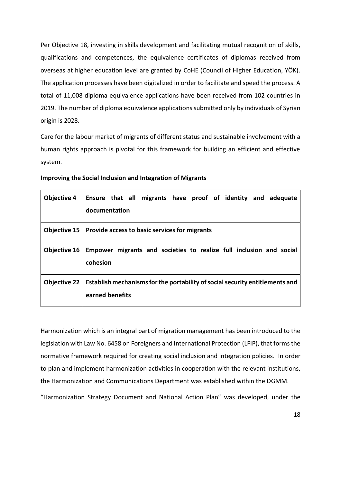Per Objective 18, investing in skills development and facilitating mutual recognition of skills, qualifications and competences, the equivalence certificates of diplomas received from overseas at higher education level are granted by CoHE (Council of Higher Education, YÖK). The application processes have been digitalized in order to facilitate and speed the process. A total of 11,008 diploma equivalence applications have been received from 102 countries in 2019. The number of diploma equivalence applications submitted only by individuals of Syrian origin is 2028.

Care for the labour market of migrants of different status and sustainable involvement with a human rights approach is pivotal for this framework for building an efficient and effective system.

| <b>Objective 4</b>  | Ensure that all migrants have proof of identity and adequate<br>documentation                   |
|---------------------|-------------------------------------------------------------------------------------------------|
|                     | Objective 15   Provide access to basic services for migrants                                    |
| Objective 16        | Empower migrants and societies to realize full inclusion and social<br>cohesion                 |
| <b>Objective 22</b> | Establish mechanisms for the portability of social security entitlements and<br>earned benefits |

#### **Improving the Social Inclusion and Integration of Migrants**

Harmonization which is an integral part of migration management has been introduced to the legislation with Law No. 6458 on Foreigners and International Protection (LFIP), that forms the normative framework required for creating social inclusion and integration policies. In order to plan and implement harmonization activities in cooperation with the relevant institutions, the Harmonization and Communications Department was established within the DGMM.

"Harmonization Strategy Document and National Action Plan" was developed, under the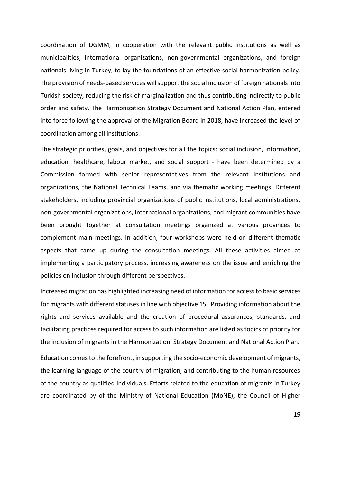coordination of DGMM, in cooperation with the relevant public institutions as well as municipalities, international organizations, non-governmental organizations, and foreign nationals living in Turkey, to lay the foundations of an effective social harmonization policy. The provision of needs-based services willsupport the social inclusion of foreign nationals into Turkish society, reducing the risk of marginalization and thus contributing indirectly to public order and safety. The Harmonization Strategy Document and National Action Plan, entered into force following the approval of the Migration Board in 2018, have increased the level of coordination among all institutions.

The strategic priorities, goals, and objectives for all the topics: social inclusion, information, education, healthcare, labour market, and social support - have been determined by a Commission formed with senior representatives from the relevant institutions and organizations, the National Technical Teams, and via thematic working meetings. Different stakeholders, including provincial organizations of public institutions, local administrations, non-governmental organizations, international organizations, and migrant communities have been brought together at consultation meetings organized at various provinces to complement main meetings. In addition, four workshops were held on different thematic aspects that came up during the consultation meetings. All these activities aimed at implementing a participatory process, increasing awareness on the issue and enriching the policies on inclusion through different perspectives.

Increased migration has highlighted increasing need of information for access to basic services for migrants with different statuses in line with objective 15. Providing information about the rights and services available and the creation of procedural assurances, standards, and facilitating practices required for access to such information are listed as topics of priority for the inclusion of migrants in the Harmonization Strategy Document and National Action Plan.

Education comes to the forefront, in supporting the socio-economic development of migrants, the learning language of the country of migration, and contributing to the human resources of the country as qualified individuals. Efforts related to the education of migrants in Turkey are coordinated by of the Ministry of National Education (MoNE), the Council of Higher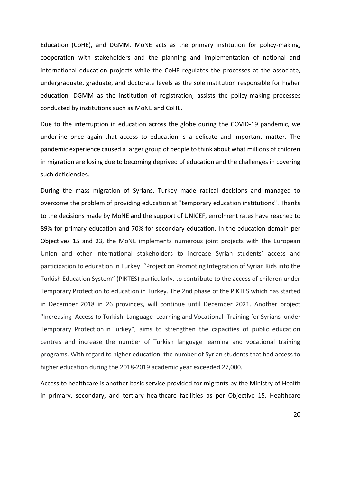Education (CoHE), and DGMM. MoNE acts as the primary institution for policy-making, cooperation with stakeholders and the planning and implementation of national and international education projects while the CoHE regulates the processes at the associate, undergraduate, graduate, and doctorate levels as the sole institution responsible for higher education. DGMM as the institution of registration, assists the policy-making processes conducted by institutions such as MoNE and CoHE.

Due to the interruption in education across the globe during the COVID-19 pandemic, we underline once again that access to education is a delicate and important matter. The pandemic experience caused a larger group of people to think about what millions of children in migration are losing due to becoming deprived of education and the challenges in covering such deficiencies.

During the mass migration of Syrians, Turkey made radical decisions and managed to overcome the problem of providing education at "temporary education institutions". Thanks to the decisions made by MoNE and the support of UNICEF, enrolment rates have reached to 89% for primary education and 70% for secondary education. In the education domain per Objectives 15 and 23, the MoNE implements numerous joint projects with the European Union and other international stakeholders to increase Syrian students' access and participation to education in Turkey. "Project on Promoting Integration of Syrian Kids into the Turkish Education System" (PIKTES) particularly, to contribute to the access of children under Temporary Protection to education in Turkey. The 2nd phase of the PIKTES which has started in December 2018 in 26 provinces, will continue until December 2021. Another project "Increasing Access to Turkish Language Learning and Vocational Training for Syrians under Temporary Protection in Turkey", aims to strengthen the capacities of public education centres and increase the number of Turkish language learning and vocational training programs. With regard to higher education, the number of Syrian students that had access to higher education during the 2018-2019 academic year exceeded 27,000.

Access to healthcare is another basic service provided for migrants by the Ministry of Health in primary, secondary, and tertiary healthcare facilities as per Objective 15. Healthcare

20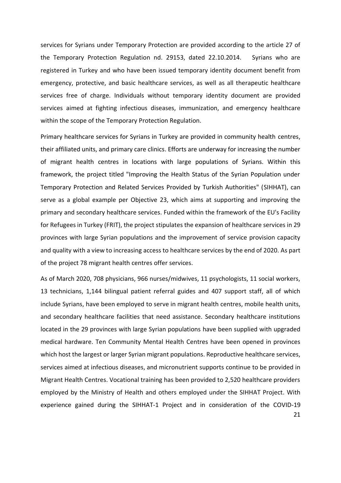services for Syrians under Temporary Protection are provided according to the article 27 of the Temporary Protection Regulation nd. 29153, dated 22.10.2014. Syrians who are registered in Turkey and who have been issued temporary identity document benefit from emergency, protective, and basic healthcare services, as well as all therapeutic healthcare services free of charge. Individuals without temporary identity document are provided services aimed at fighting infectious diseases, immunization, and emergency healthcare within the scope of the Temporary Protection Regulation.

Primary healthcare services for Syrians in Turkey are provided in community health centres, their affiliated units, and primary care clinics. Efforts are underway for increasing the number of migrant health centres in locations with large populations of Syrians. Within this framework, the project titled "Improving the Health Status of the Syrian Population under Temporary Protection and Related Services Provided by Turkish Authorities" (SIHHAT), can serve as a global example per Objective 23, which aims at supporting and improving the primary and secondary healthcare services. Funded within the framework of the EU's Facility for Refugees in Turkey (FRIT), the project stipulates the expansion of healthcare services in 29 provinces with large Syrian populations and the improvement of service provision capacity and quality with a view to increasing access to healthcare services by the end of 2020. As part of the project 78 migrant health centres offer services.

21 As of March 2020, 708 physicians, 966 nurses/midwives, 11 psychologists, 11 social workers, 13 technicians, 1,144 bilingual patient referral guides and 407 support staff, all of which include Syrians, have been employed to serve in migrant health centres, mobile health units, and secondary healthcare facilities that need assistance. Secondary healthcare institutions located in the 29 provinces with large Syrian populations have been supplied with upgraded medical hardware. Ten Community Mental Health Centres have been opened in provinces which host the largest or larger Syrian migrant populations. Reproductive healthcare services, services aimed at infectious diseases, and micronutrient supports continue to be provided in Migrant Health Centres. Vocational training has been provided to 2,520 healthcare providers employed by the Ministry of Health and others employed under the SIHHAT Project. With experience gained during the SIHHAT-1 Project and in consideration of the COVID-19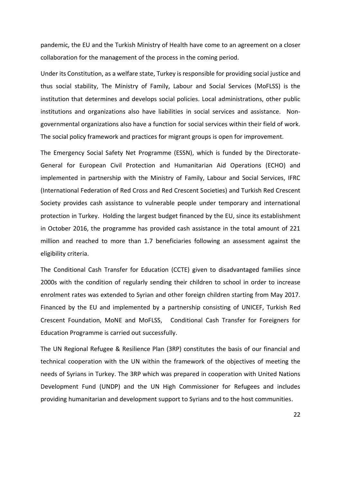pandemic, the EU and the Turkish Ministry of Health have come to an agreement on a closer collaboration for the management of the process in the coming period.

Under its Constitution, as a welfare state, Turkey is responsible for providing social justice and thus social stability, The Ministry of Family, Labour and Social Services (MoFLSS) is the institution that determines and develops social policies. Local administrations, other public institutions and organizations also have liabilities in social services and assistance. Nongovernmental organizations also have a function for social services within their field of work. The social policy framework and practices for migrant groups is open for improvement.

The Emergency Social Safety Net Programme (ESSN), which is funded by the Directorate-General for European Civil Protection and Humanitarian Aid Operations (ECHO) and implemented in partnership with the Ministry of Family, Labour and Social Services, IFRC (International Federation of Red Cross and Red Crescent Societies) and Turkish Red Crescent Society provides cash assistance to vulnerable people under temporary and international protection in Turkey. Holding the largest budget financed by the EU, since its establishment in October 2016, the programme has provided cash assistance in the total amount of 221 million and reached to more than 1.7 beneficiaries following an assessment against the eligibility criteria.

The Conditional Cash Transfer for Education (CCTE) given to disadvantaged families since 2000s with the condition of regularly sending their children to school in order to increase enrolment rates was extended to Syrian and other foreign children starting from May 2017. Financed by the EU and implemented by a partnership consisting of UNICEF, Turkish Red Crescent Foundation, MoNE and MoFLSS, Conditional Cash Transfer for Foreigners for Education Programme is carried out successfully.

The UN Regional Refugee & Resilience Plan (3RP) constitutes the basis of our financial and technical cooperation with the UN within the framework of the objectives of meeting the needs of Syrians in Turkey. The 3RP which was prepared in cooperation with United Nations Development Fund (UNDP) and the UN High Commissioner for Refugees and includes providing humanitarian and development support to Syrians and to the host communities.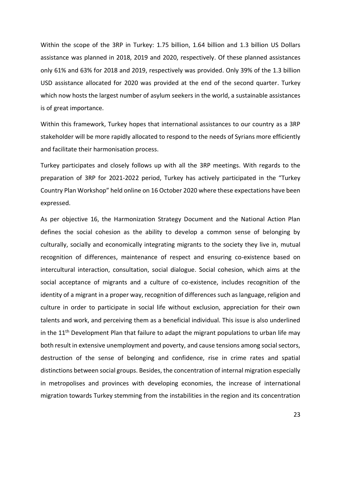Within the scope of the 3RP in Turkey: 1.75 billion, 1.64 billion and 1.3 billion US Dollars assistance was planned in 2018, 2019 and 2020, respectively. Of these planned assistances only 61% and 63% for 2018 and 2019, respectively was provided. Only 39% of the 1.3 billion USD assistance allocated for 2020 was provided at the end of the second quarter. Turkey which now hosts the largest number of asylum seekers in the world, a sustainable assistances is of great importance.

Within this framework, Turkey hopes that international assistances to our country as a 3RP stakeholder will be more rapidly allocated to respond to the needs of Syrians more efficiently and facilitate their harmonisation process.

Turkey participates and closely follows up with all the 3RP meetings. With regards to the preparation of 3RP for 2021-2022 period, Turkey has actively participated in the "Turkey Country Plan Workshop" held online on 16 October 2020 where these expectations have been expressed.

As per objective 16, the Harmonization Strategy Document and the National Action Plan defines the social cohesion as the ability to develop a common sense of belonging by culturally, socially and economically integrating migrants to the society they live in, mutual recognition of differences, maintenance of respect and ensuring co-existence based on intercultural interaction, consultation, social dialogue. Social cohesion, which aims at the social acceptance of migrants and a culture of co-existence, includes recognition of the identity of a migrant in a proper way, recognition of differences such as language, religion and culture in order to participate in social life without exclusion, appreciation for their own talents and work, and perceiving them as a beneficial individual. This issue is also underlined in the  $11<sup>th</sup>$  Development Plan that failure to adapt the migrant populations to urban life may both result in extensive unemployment and poverty, and cause tensions among social sectors, destruction of the sense of belonging and confidence, rise in crime rates and spatial distinctions between social groups. Besides, the concentration of internal migration especially in metropolises and provinces with developing economies, the increase of international migration towards Turkey stemming from the instabilities in the region and its concentration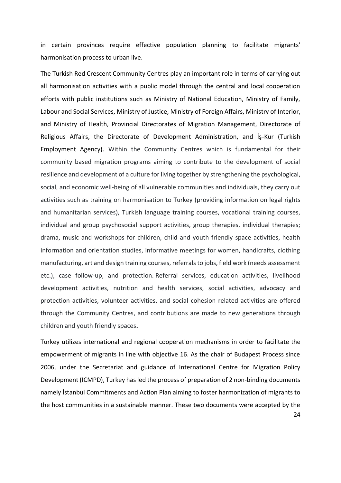in certain provinces require effective population planning to facilitate migrants' harmonisation process to urban live.

The Turkish Red Crescent Community Centres play an important role in terms of carrying out all harmonisation activities with a public model through the central and local cooperation efforts with public institutions such as Ministry of National Education, Ministry of Family, Labour and Social Services, Ministry of Justice, Ministry of Foreign Affairs, Ministry of Interior, and Ministry of Health, Provincial Directorates of Migration Management, Directorate of Religious Affairs, the Directorate of Development Administration, and İş-Kur (Turkish Employment Agency). Within the Community Centres which is fundamental for their community based migration programs aiming to contribute to the development of social resilience and development of a culture for living together by strengthening the psychological, social, and economic well-being of all vulnerable communities and individuals, they carry out activities such as training on harmonisation to Turkey (providing information on legal rights and humanitarian services), Turkish language training courses, vocational training courses, individual and group psychosocial support activities, group therapies, individual therapies; drama, music and workshops for children, child and youth friendly space activities, health information and orientation studies, informative meetings for women, handicrafts, clothing manufacturing, art and design training courses, referrals to jobs, field work (needs assessment etc.), case follow-up, and protection. Referral services, education activities, livelihood development activities, nutrition and health services, social activities, advocacy and protection activities, volunteer activities, and social cohesion related activities are offered through the Community Centres, and contributions are made to new generations through children and youth friendly spaces**.**

24 Turkey utilizes international and regional cooperation mechanisms in order to facilitate the empowerment of migrants in line with objective 16. As the chair of Budapest Process since 2006, under the Secretariat and guidance of International Centre for Migration Policy Development (ICMPD), Turkey has led the process of preparation of 2 non-binding documents namely İstanbul Commitments and Action Plan aiming to foster harmonization of migrants to the host communities in a sustainable manner. These two documents were accepted by the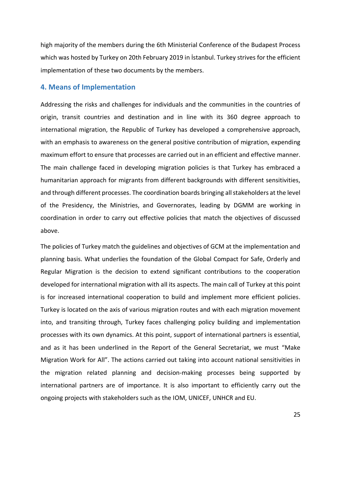high majority of the members during the 6th Ministerial Conference of the Budapest Process which was hosted by Turkey on 20th February 2019 in İstanbul. Turkey strives for the efficient implementation of these two documents by the members.

#### **4. Means of Implementation**

Addressing the risks and challenges for individuals and the communities in the countries of origin, transit countries and destination and in line with its 360 degree approach to international migration, the Republic of Turkey has developed a comprehensive approach, with an emphasis to awareness on the general positive contribution of migration, expending maximum effort to ensure that processes are carried out in an efficient and effective manner. The main challenge faced in developing migration policies is that Turkey has embraced a humanitarian approach for migrants from different backgrounds with different sensitivities, and through different processes. The coordination boards bringing all stakeholders at the level of the Presidency, the Ministries, and Governorates, leading by DGMM are working in coordination in order to carry out effective policies that match the objectives of discussed above.

The policies of Turkey match the guidelines and objectives of GCM at the implementation and planning basis. What underlies the foundation of the Global Compact for Safe, Orderly and Regular Migration is the decision to extend significant contributions to the cooperation developed for international migration with all its aspects. The main call of Turkey at this point is for increased international cooperation to build and implement more efficient policies. Turkey is located on the axis of various migration routes and with each migration movement into, and transiting through, Turkey faces challenging policy building and implementation processes with its own dynamics. At this point, support of international partners is essential, and as it has been underlined in the Report of the General Secretariat, we must "Make Migration Work for All". The actions carried out taking into account national sensitivities in the migration related planning and decision-making processes being supported by international partners are of importance. It is also important to efficiently carry out the ongoing projects with stakeholders such as the IOM, UNICEF, UNHCR and EU.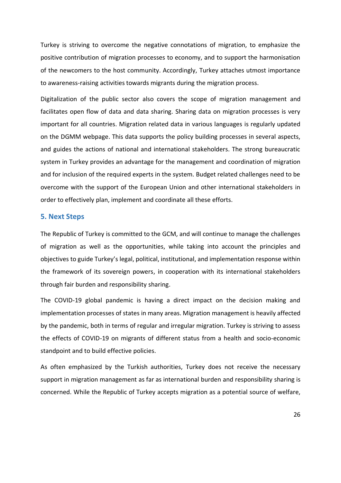Turkey is striving to overcome the negative connotations of migration, to emphasize the positive contribution of migration processes to economy, and to support the harmonisation of the newcomers to the host community. Accordingly, Turkey attaches utmost importance to awareness-raising activities towards migrants during the migration process.

Digitalization of the public sector also covers the scope of migration management and facilitates open flow of data and data sharing. Sharing data on migration processes is very important for all countries. Migration related data in various languages is regularly updated on the DGMM webpage. This data supports the policy building processes in several aspects, and guides the actions of national and international stakeholders. The strong bureaucratic system in Turkey provides an advantage for the management and coordination of migration and for inclusion of the required experts in the system. Budget related challenges need to be overcome with the support of the European Union and other international stakeholders in order to effectively plan, implement and coordinate all these efforts.

#### **5. Next Steps**

The Republic of Turkey is committed to the GCM, and will continue to manage the challenges of migration as well as the opportunities, while taking into account the principles and objectives to guide Turkey's legal, political, institutional, and implementation response within the framework of its sovereign powers, in cooperation with its international stakeholders through fair burden and responsibility sharing.

The COVID-19 global pandemic is having a direct impact on the decision making and implementation processes of states in many areas. Migration management is heavily affected by the pandemic, both in terms of regular and irregular migration. Turkey is striving to assess the effects of COVID-19 on migrants of different status from a health and socio-economic standpoint and to build effective policies.

As often emphasized by the Turkish authorities, Turkey does not receive the necessary support in migration management as far as international burden and responsibility sharing is concerned. While the Republic of Turkey accepts migration as a potential source of welfare,